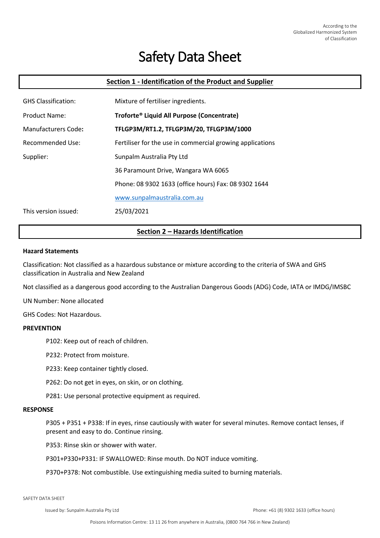# Safety Data Sheet

# **Section 1 - Identification of the Product and Supplier**

| <b>GHS Classification:</b> | Mixture of fertiliser ingredients.                        |
|----------------------------|-----------------------------------------------------------|
| <b>Product Name:</b>       | Troforte <sup>®</sup> Liquid All Purpose (Concentrate)    |
| Manufacturers Code:        | TFLGP3M/RT1.2, TFLGP3M/20, TFLGP3M/1000                   |
| Recommended Use:           | Fertiliser for the use in commercial growing applications |
| Supplier:                  | Sunpalm Australia Pty Ltd                                 |
|                            | 36 Paramount Drive, Wangara WA 6065                       |
|                            | Phone: 08 9302 1633 (office hours) Fax: 08 9302 1644      |
|                            | www.sunpalmaustralia.com.au                               |
| This version issued:       | 25/03/2021                                                |

# **Section 2 – Hazards Identification**

#### **Hazard Statements**

Classification: Not classified as a hazardous substance or mixture according to the criteria of SWA and GHS classification in Australia and New Zealand

Not classified as a dangerous good according to the Australian Dangerous Goods (ADG) Code, IATA or IMDG/IMSBC

UN Number: None allocated

GHS Codes: Not Hazardous.

#### **PREVENTION**

P102: Keep out of reach of children.

P232: Protect from moisture.

P233: Keep container tightly closed.

P262: Do not get in eyes, on skin, or on clothing.

P281: Use personal protective equipment as required.

#### **RESPONSE**

P305 + P351 + P338: If in eyes, rinse cautiously with water for several minutes. Remove contact lenses, if present and easy to do. Continue rinsing.

P353: Rinse skin or shower with water.

P301+P330+P331: IF SWALLOWED: Rinse mouth. Do NOT induce vomiting.

P370+P378: Not combustible. Use extinguishing media suited to burning materials.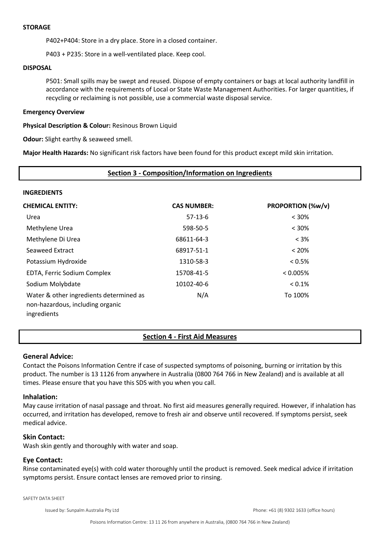#### **STORAGE**

P402+P404: Store in a dry place. Store in a closed container.

P403 + P235: Store in a well-ventilated place. Keep cool.

### **DISPOSAL**

P501: Small spills may be swept and reused. Dispose of empty containers or bags at local authority landfill in accordance with the requirements of Local or State Waste Management Authorities. For larger quantities, if recycling or reclaiming is not possible, use a commercial waste disposal service.

#### **Emergency Overview**

**Physical Description & Colour:** Resinous Brown Liquid

**Odour:** Slight earthy & seaweed smell.

**Major Health Hazards:** No significant risk factors have been found for this product except mild skin irritation.

## **Section 3 - Composition/Information on Ingredients**

#### **INGREDIENTS**

| <b>CHEMICAL ENTITY:</b>                                                                    | <b>CAS NUMBER:</b> | PROPORTION (%w/v) |
|--------------------------------------------------------------------------------------------|--------------------|-------------------|
| Urea                                                                                       | $57-13-6$          | $< 30\%$          |
| Methylene Urea                                                                             | 598-50-5           | $< 30\%$          |
| Methylene Di Urea                                                                          | 68611-64-3         | $< 3\%$           |
| Seaweed Extract                                                                            | 68917-51-1         | $< 20\%$          |
| Potassium Hydroxide                                                                        | 1310-58-3          | $< 0.5\%$         |
| EDTA, Ferric Sodium Complex                                                                | 15708-41-5         | $< 0.005\%$       |
| Sodium Molybdate                                                                           | 10102-40-6         | $< 0.1\%$         |
| Water & other ingredients determined as<br>non-hazardous, including organic<br>ingredients | N/A                | To 100%           |

## **Section 4 - First Aid Measures**

#### **General Advice:**

Contact the Poisons Information Centre if case of suspected symptoms of poisoning, burning or irritation by this product. The number is 13 1126 from anywhere in Australia (0800 764 766 in New Zealand) and is available at all times. Please ensure that you have this SDS with you when you call.

#### **Inhalation:**

May cause irritation of nasal passage and throat. No first aid measures generally required. However, if inhalation has occurred, and irritation has developed, remove to fresh air and observe until recovered. If symptoms persist, seek medical advice.

## **Skin Contact:**

Wash skin gently and thoroughly with water and soap.

## **Eye Contact:**

Rinse contaminated eye(s) with cold water thoroughly until the product is removed. Seek medical advice if irritation symptoms persist. Ensure contact lenses are removed prior to rinsing.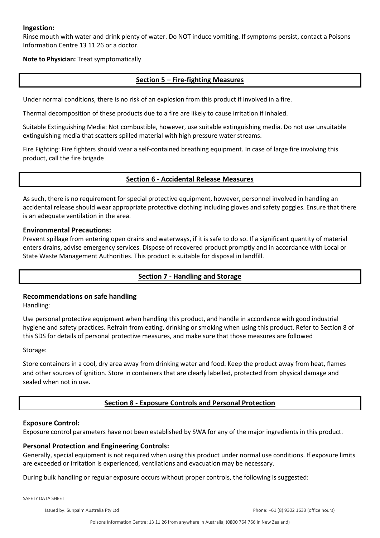## **Ingestion:**

Rinse mouth with water and drink plenty of water. Do NOT induce vomiting. If symptoms persist, contact a Poisons Information Centre 13 11 26 or a doctor.

**Note to Physician:** Treat symptomatically

# **Section 5 – Fire-fighting Measures**

Under normal conditions, there is no risk of an explosion from this product if involved in a fire.

Thermal decomposition of these products due to a fire are likely to cause irritation if inhaled.

Suitable Extinguishing Media: Not combustible, however, use suitable extinguishing media. Do not use unsuitable extinguishing media that scatters spilled material with high pressure water streams.

Fire Fighting: Fire fighters should wear a self-contained breathing equipment. In case of large fire involving this product, call the fire brigade

# **Section 6 - Accidental Release Measures**

As such, there is no requirement for special protective equipment, however, personnel involved in handling an accidental release should wear appropriate protective clothing including gloves and safety goggles. Ensure that there is an adequate ventilation in the area.

## **Environmental Precautions:**

Prevent spillage from entering open drains and waterways, if it is safe to do so. If a significant quantity of material enters drains, advise emergency services. Dispose of recovered product promptly and in accordance with Local or State Waste Management Authorities. This product is suitable for disposal in landfill.

# **Section 7 - Handling and Storage**

# **Recommendations on safe handling**

Handling:

Use personal protective equipment when handling this product, and handle in accordance with good industrial hygiene and safety practices. Refrain from eating, drinking or smoking when using this product. Refer to Section 8 of this SDS for details of personal protective measures, and make sure that those measures are followed

Storage:

Store containers in a cool, dry area away from drinking water and food. Keep the product away from heat, flames and other sources of ignition. Store in containers that are clearly labelled, protected from physical damage and sealed when not in use.

# **Section 8 - Exposure Controls and Personal Protection**

## **Exposure Control:**

Exposure control parameters have not been established by SWA for any of the major ingredients in this product.

# **Personal Protection and Engineering Controls:**

Generally, special equipment is not required when using this product under normal use conditions. If exposure limits are exceeded or irritation is experienced, ventilations and evacuation may be necessary.

During bulk handling or regular exposure occurs without proper controls, the following is suggested: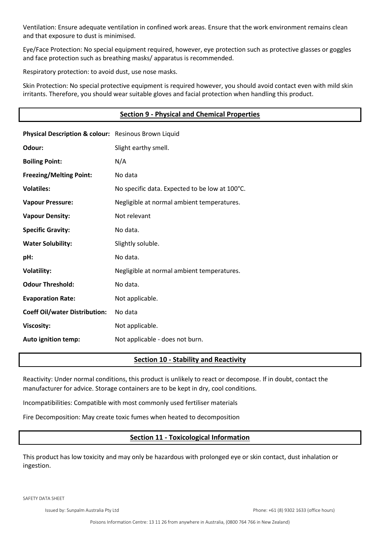Ventilation: Ensure adequate ventilation in confined work areas. Ensure that the work environment remains clean and that exposure to dust is minimised.

Eye/Face Protection: No special equipment required, however, eye protection such as protective glasses or goggles and face protection such as breathing masks/ apparatus is recommended.

Respiratory protection: to avoid dust, use nose masks.

Skin Protection: No special protective equipment is required however, you should avoid contact even with mild skin irritants. Therefore, you should wear suitable gloves and facial protection when handling this product.

|                                                      | <b>Section 9 - Physical and Chemical Properties</b> |
|------------------------------------------------------|-----------------------------------------------------|
| Physical Description & colour: Resinous Brown Liquid |                                                     |
| Odour:                                               | Slight earthy smell.                                |
| <b>Boiling Point:</b>                                | N/A                                                 |
| <b>Freezing/Melting Point:</b>                       | No data                                             |
| <b>Volatiles:</b>                                    | No specific data. Expected to be low at 100°C.      |
| <b>Vapour Pressure:</b>                              | Negligible at normal ambient temperatures.          |
| <b>Vapour Density:</b>                               | Not relevant                                        |
| <b>Specific Gravity:</b>                             | No data.                                            |
| <b>Water Solubility:</b>                             | Slightly soluble.                                   |
| pH:                                                  | No data.                                            |
| <b>Volatility:</b>                                   | Negligible at normal ambient temperatures.          |
| <b>Odour Threshold:</b>                              | No data.                                            |
| <b>Evaporation Rate:</b>                             | Not applicable.                                     |
| <b>Coeff Oil/water Distribution:</b>                 | No data                                             |
| <b>Viscosity:</b>                                    | Not applicable.                                     |
| Auto ignition temp:                                  | Not applicable - does not burn.                     |

# **Section 10 - Stability and Reactivity**

Reactivity: Under normal conditions, this product is unlikely to react or decompose. If in doubt, contact the manufacturer for advice. Storage containers are to be kept in dry, cool conditions.

Incompatibilities: Compatible with most commonly used fertiliser materials

Fire Decomposition: May create toxic fumes when heated to decomposition

# **Section 11 - Toxicological Information**

This product has low toxicity and may only be hazardous with prolonged eye or skin contact, dust inhalation or ingestion.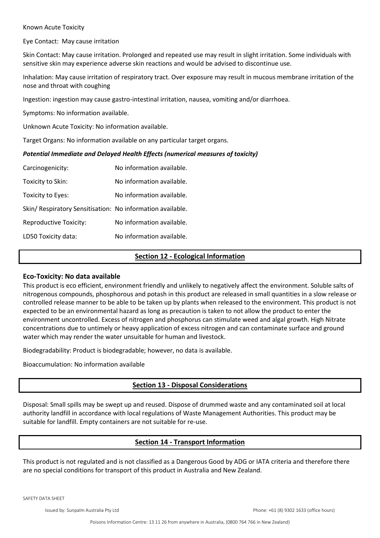#### Known Acute Toxicity

Eye Contact: May cause irritation

Skin Contact: May cause irritation. Prolonged and repeated use may result in slight irritation. Some individuals with sensitive skin may experience adverse skin reactions and would be advised to discontinue use.

Inhalation: May cause irritation of respiratory tract. Over exposure may result in mucous membrane irritation of the nose and throat with coughing

Ingestion: ingestion may cause gastro-intestinal irritation, nausea, vomiting and/or diarrhoea.

Symptoms: No information available.

Unknown Acute Toxicity: No information available.

Target Organs: No information available on any particular target organs.

#### *Potential Immediate and Delayed Health Effects (numerical measures of toxicity)*

| No information available.                                  |
|------------------------------------------------------------|
| No information available.                                  |
| No information available.                                  |
| Skin/ Respiratory Sensitisation: No information available. |
| No information available.                                  |
| No information available.                                  |
|                                                            |

## **Section 12 - Ecological Information**

## **Eco-Toxicity: No data available**

This product is eco efficient, environment friendly and unlikely to negatively affect the environment. Soluble salts of nitrogenous compounds, phosphorous and potash in this product are released in small quantities in a slow release or controlled release manner to be able to be taken up by plants when released to the environment. This product is not expected to be an environmental hazard as long as precaution is taken to not allow the product to enter the environment uncontrolled. Excess of nitrogen and phosphorus can stimulate weed and algal growth. High Nitrate concentrations due to untimely or heavy application of excess nitrogen and can contaminate surface and ground water which may render the water unsuitable for human and livestock.

Biodegradability: Product is biodegradable; however, no data is available.

Bioaccumulation: No information available

# **Section 13 - Disposal Considerations**

Disposal: Small spills may be swept up and reused. Dispose of drummed waste and any contaminated soil at local authority landfill in accordance with local regulations of Waste Management Authorities. This product may be suitable for landfill. Empty containers are not suitable for re-use.

# **Section 14 - Transport Information**

This product is not regulated and is not classified as a Dangerous Good by ADG or IATA criteria and therefore there are no special conditions for transport of this product in Australia and New Zealand.